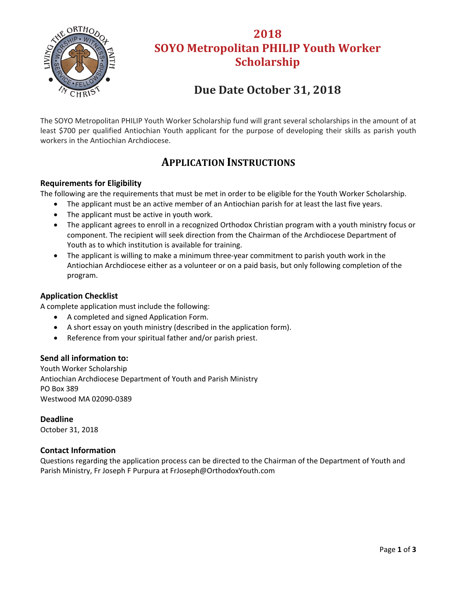

# **2018 SOYO Metropolitan PHILIP Youth Worker Scholarship**

# **Due Date October 31, 2018**

The SOYO Metropolitan PHILIP Youth Worker Scholarship fund will grant several scholarships in the amount of at least \$700 per qualified Antiochian Youth applicant for the purpose of developing their skills as parish youth workers in the Antiochian Archdiocese.

### **APPLICATION INSTRUCTIONS**

#### **Requirements for Eligibility**

The following are the requirements that must be met in order to be eligible for the Youth Worker Scholarship.

- The applicant must be an active member of an Antiochian parish for at least the last five years.
- The applicant must be active in youth work.
- The applicant agrees to enroll in a recognized Orthodox Christian program with a youth ministry focus or component. The recipient will seek direction from the Chairman of the Archdiocese Department of Youth as to which institution is available for training.
- The applicant is willing to make a minimum three-year commitment to parish youth work in the Antiochian Archdiocese either as a volunteer or on a paid basis, but only following completion of the program.

#### **Application Checklist**

A complete application must include the following:

- A completed and signed Application Form.
- A short essay on youth ministry (described in the application form).
- Reference from your spiritual father and/or parish priest.

#### **Send all information to:**

Youth Worker Scholarship Antiochian Archdiocese Department of Youth and Parish Ministry PO Box 389 Westwood MA 02090‐0389

**Deadline**  October 31, 2018

#### **Contact Information**

Questions regarding the application process can be directed to the Chairman of the Department of Youth and Parish Ministry, Fr Joseph F Purpura at FrJoseph@OrthodoxYouth.com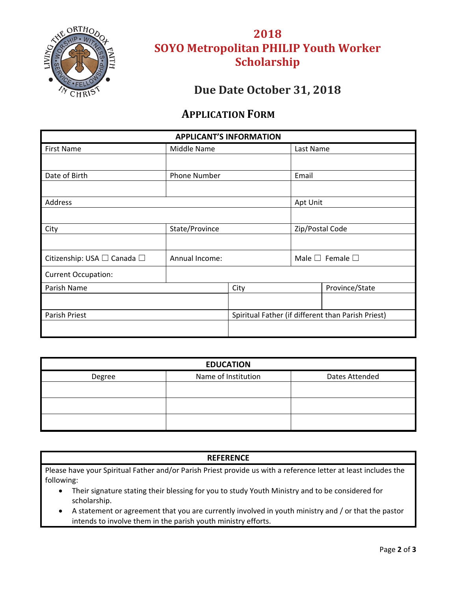

# **2018 SOYO Metropolitan PHILIP Youth Worker Scholarship**

### **Due Date October 31, 2018**

### **APPLICATION FORM**

| <b>APPLICANT'S INFORMATION</b>        |                     |                                                    |                                 |                |  |
|---------------------------------------|---------------------|----------------------------------------------------|---------------------------------|----------------|--|
| <b>First Name</b>                     | Middle Name         |                                                    | Last Name                       |                |  |
|                                       |                     |                                                    |                                 |                |  |
| Date of Birth                         | <b>Phone Number</b> |                                                    | Email                           |                |  |
|                                       |                     |                                                    |                                 |                |  |
| Address                               |                     |                                                    | Apt Unit                        |                |  |
|                                       |                     |                                                    |                                 |                |  |
| City                                  | State/Province      |                                                    | Zip/Postal Code                 |                |  |
|                                       |                     |                                                    |                                 |                |  |
| Citizenship: USA $\Box$ Canada $\Box$ | Annual Income:      |                                                    | Male $\square$ Female $\square$ |                |  |
| <b>Current Occupation:</b>            |                     |                                                    |                                 |                |  |
| Parish Name                           |                     | City                                               |                                 | Province/State |  |
|                                       |                     |                                                    |                                 |                |  |
| Parish Priest                         |                     | Spiritual Father (if different than Parish Priest) |                                 |                |  |
|                                       |                     |                                                    |                                 |                |  |

| <b>EDUCATION</b> |                     |                |  |  |  |  |
|------------------|---------------------|----------------|--|--|--|--|
| Degree           | Name of Institution | Dates Attended |  |  |  |  |
|                  |                     |                |  |  |  |  |
|                  |                     |                |  |  |  |  |
|                  |                     |                |  |  |  |  |

#### **REFERENCE**

Please have your Spiritual Father and/or Parish Priest provide us with a reference letter at least includes the following:

- Their signature stating their blessing for you to study Youth Ministry and to be considered for scholarship.
- A statement or agreement that you are currently involved in youth ministry and / or that the pastor intends to involve them in the parish youth ministry efforts.